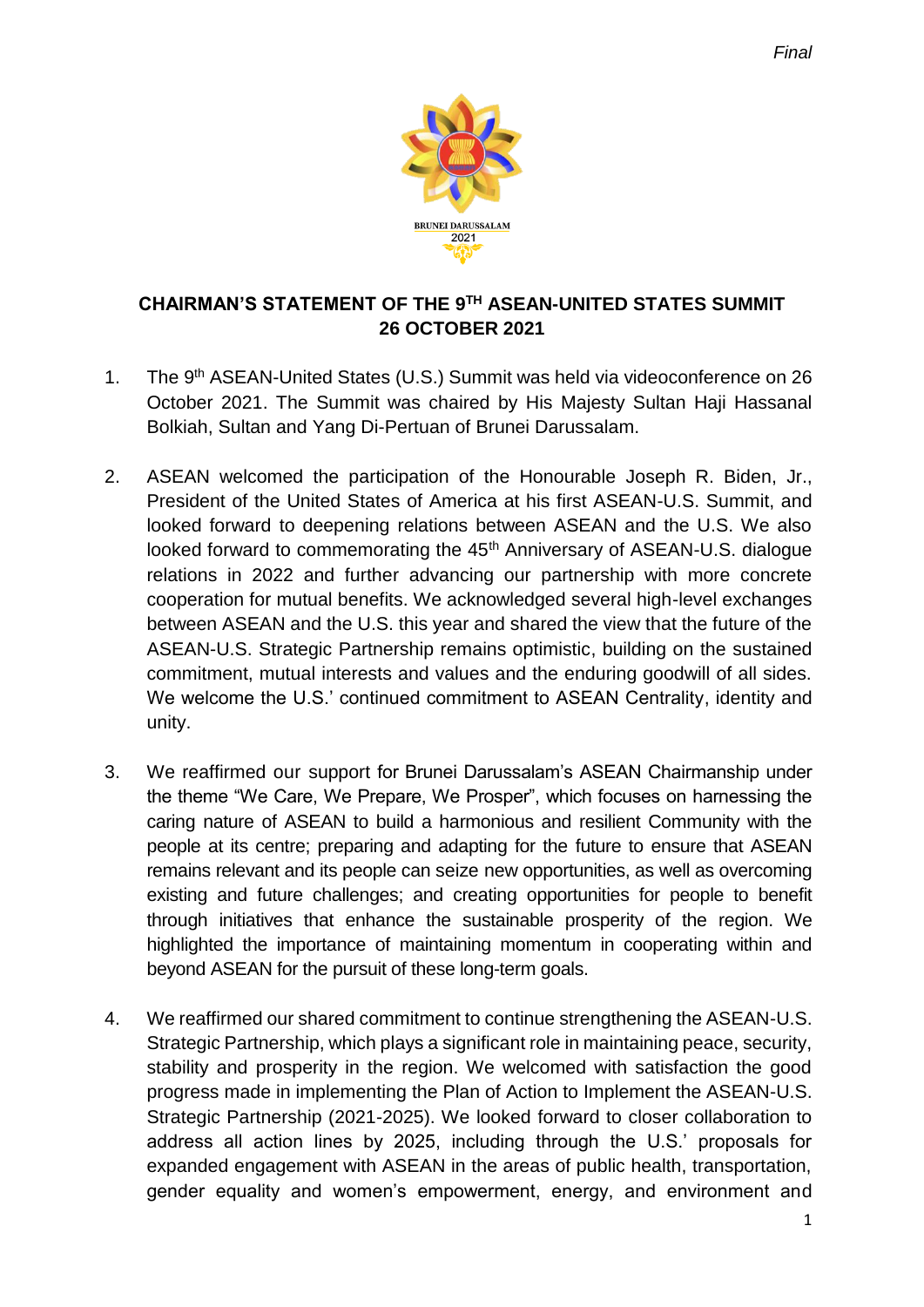

## **CHAIRMAN'S STATEMENT OF THE 9 TH ASEAN-UNITED STATES SUMMIT 26 OCTOBER 2021**

- 1. The 9<sup>th</sup> ASEAN-United States (U.S.) Summit was held via videoconference on 26 October 2021. The Summit was chaired by His Majesty Sultan Haji Hassanal Bolkiah, Sultan and Yang Di-Pertuan of Brunei Darussalam.
- 2. ASEAN welcomed the participation of the Honourable Joseph R. Biden, Jr., President of the United States of America at his first ASEAN-U.S. Summit, and looked forward to deepening relations between ASEAN and the U.S. We also looked forward to commemorating the 45<sup>th</sup> Anniversary of ASEAN-U.S. dialogue relations in 2022 and further advancing our partnership with more concrete cooperation for mutual benefits. We acknowledged several high-level exchanges between ASEAN and the U.S. this year and shared the view that the future of the ASEAN-U.S. Strategic Partnership remains optimistic, building on the sustained commitment, mutual interests and values and the enduring goodwill of all sides. We welcome the U.S.' continued commitment to ASEAN Centrality, identity and unity.
- 3. We reaffirmed our support for Brunei Darussalam's ASEAN Chairmanship under the theme "We Care, We Prepare, We Prosper", which focuses on harnessing the caring nature of ASEAN to build a harmonious and resilient Community with the people at its centre; preparing and adapting for the future to ensure that ASEAN remains relevant and its people can seize new opportunities, as well as overcoming existing and future challenges; and creating opportunities for people to benefit through initiatives that enhance the sustainable prosperity of the region. We highlighted the importance of maintaining momentum in cooperating within and beyond ASEAN for the pursuit of these long-term goals.
- 4. We reaffirmed our shared commitment to continue strengthening the ASEAN-U.S. Strategic Partnership, which plays a significant role in maintaining peace, security, stability and prosperity in the region. We welcomed with satisfaction the good progress made in implementing the Plan of Action to Implement the ASEAN-U.S. Strategic Partnership (2021-2025). We looked forward to closer collaboration to address all action lines by 2025, including through the U.S.' proposals for expanded engagement with ASEAN in the areas of public health, transportation, gender equality and women's empowerment, energy, and environment and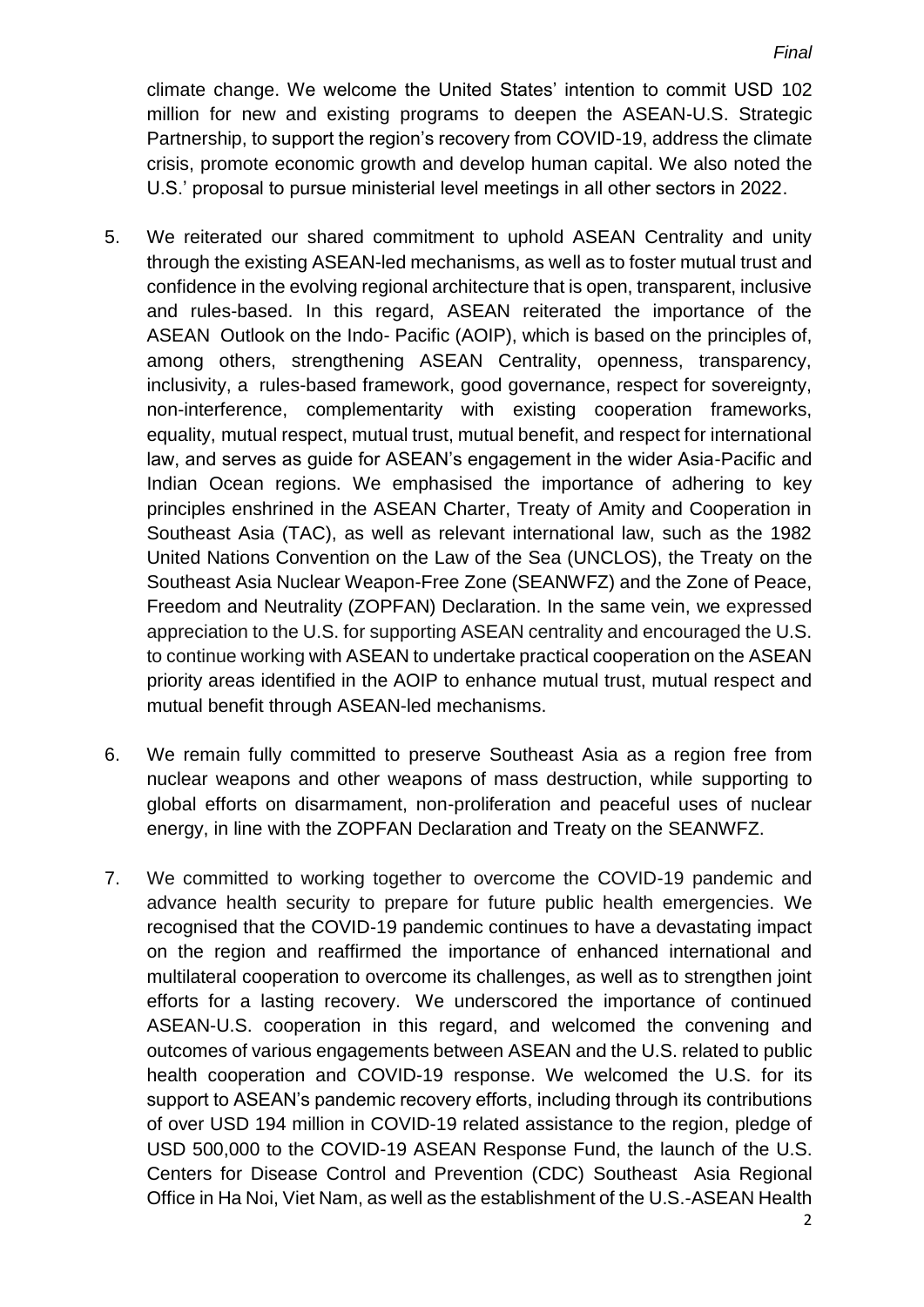climate change. We welcome the United States' intention to commit USD 102 million for new and existing programs to deepen the ASEAN-U.S. Strategic Partnership, to support the region's recovery from COVID-19, address the climate crisis, promote economic growth and develop human capital. We also noted the U.S.' proposal to pursue ministerial level meetings in all other sectors in 2022.

- 5. We reiterated our shared commitment to uphold ASEAN Centrality and unity through the existing ASEAN-led mechanisms, as well as to foster mutual trust and confidence in the evolving regional architecture that is open, transparent, inclusive and rules-based. In this regard, ASEAN reiterated the importance of the ASEAN Outlook on the Indo- Pacific (AOIP), which is based on the principles of, among others, strengthening ASEAN Centrality, openness, transparency, inclusivity, a rules-based framework, good governance, respect for sovereignty, non-interference, complementarity with existing cooperation frameworks, equality, mutual respect, mutual trust, mutual benefit, and respect for international law, and serves as guide for ASEAN's engagement in the wider Asia-Pacific and Indian Ocean regions. We emphasised the importance of adhering to key principles enshrined in the ASEAN Charter, Treaty of Amity and Cooperation in Southeast Asia (TAC), as well as relevant international law, such as the 1982 United Nations Convention on the Law of the Sea (UNCLOS), the Treaty on the Southeast Asia Nuclear Weapon-Free Zone (SEANWFZ) and the Zone of Peace, Freedom and Neutrality (ZOPFAN) Declaration. In the same vein, we expressed appreciation to the U.S. for supporting ASEAN centrality and encouraged the U.S. to continue working with ASEAN to undertake practical cooperation on the ASEAN priority areas identified in the AOIP to enhance mutual trust, mutual respect and mutual benefit through ASEAN-led mechanisms.
- 6. We remain fully committed to preserve Southeast Asia as a region free from nuclear weapons and other weapons of mass destruction, while supporting to global efforts on disarmament, non-proliferation and peaceful uses of nuclear energy, in line with the ZOPFAN Declaration and Treaty on the SEANWFZ.
- 7. We committed to working together to overcome the COVID-19 pandemic and advance health security to prepare for future public health emergencies. We recognised that the COVID-19 pandemic continues to have a devastating impact on the region and reaffirmed the importance of enhanced international and multilateral cooperation to overcome its challenges, as well as to strengthen joint efforts for a lasting recovery. We underscored the importance of continued ASEAN-U.S. cooperation in this regard, and welcomed the convening and outcomes of various engagements between ASEAN and the U.S. related to public health cooperation and COVID-19 response. We welcomed the U.S. for its support to ASEAN's pandemic recovery efforts, including through its contributions of over USD 194 million in COVID-19 related assistance to the region, pledge of USD 500,000 to the COVID-19 ASEAN Response Fund, the launch of the U.S. Centers for Disease Control and Prevention (CDC) Southeast Asia Regional Office in Ha Noi, Viet Nam, as well as the establishment of the U.S.-ASEAN Health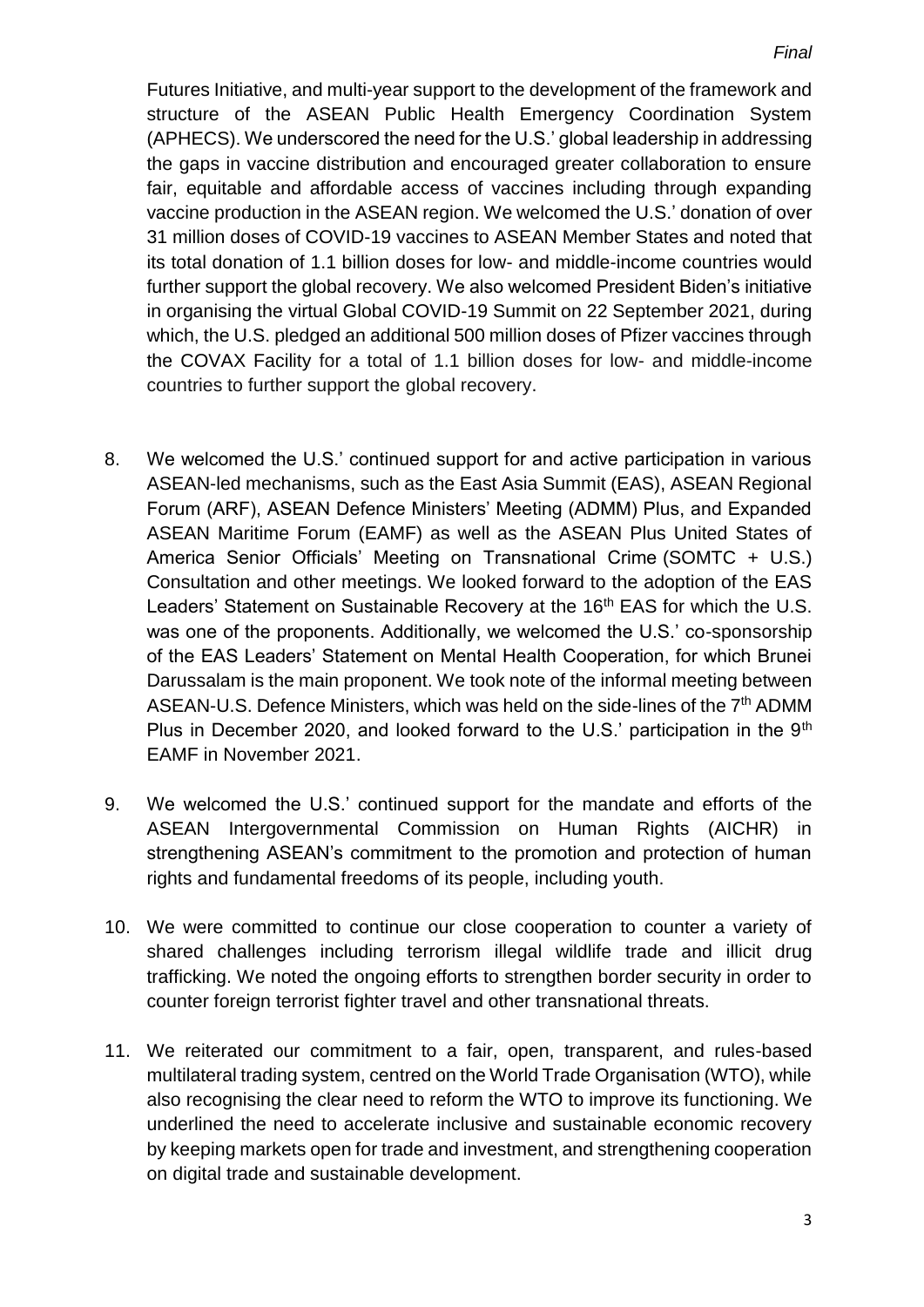Futures Initiative, and multi-year support to the development of the framework and structure of the ASEAN Public Health Emergency Coordination System (APHECS). We underscored the need for the U.S.' global leadership in addressing the gaps in vaccine distribution and encouraged greater collaboration to ensure fair, equitable and affordable access of vaccines including through expanding vaccine production in the ASEAN region. We welcomed the U.S.' donation of over 31 million doses of COVID-19 vaccines to ASEAN Member States and noted that its total donation of 1.1 billion doses for low- and middle-income countries would further support the global recovery. We also welcomed President Biden's initiative in organising the virtual Global COVID-19 Summit on 22 September 2021, during which, the U.S. pledged an additional 500 million doses of Pfizer vaccines through the COVAX Facility for a total of 1.1 billion doses for low- and middle-income countries to further support the global recovery.

- 8. We welcomed the U.S.' continued support for and active participation in various ASEAN-led mechanisms, such as the East Asia Summit (EAS), ASEAN Regional Forum (ARF), ASEAN Defence Ministers' Meeting (ADMM) Plus, and Expanded ASEAN Maritime Forum (EAMF) as well as the ASEAN Plus United States of America Senior Officials' Meeting on Transnational Crime (SOMTC + U.S.) Consultation and other meetings. We looked forward to the adoption of the EAS Leaders' Statement on Sustainable Recovery at the 16<sup>th</sup> EAS for which the U.S. was one of the proponents. Additionally, we welcomed the U.S.' co-sponsorship of the EAS Leaders' Statement on Mental Health Cooperation, for which Brunei Darussalam is the main proponent. We took note of the informal meeting between ASEAN-U.S. Defence Ministers, which was held on the side-lines of the 7<sup>th</sup> ADMM Plus in December 2020, and looked forward to the U.S.' participation in the 9<sup>th</sup> EAMF in November 2021.
- 9. We welcomed the U.S.' continued support for the mandate and efforts of the ASEAN Intergovernmental Commission on Human Rights (AICHR) in strengthening ASEAN's commitment to the promotion and protection of human rights and fundamental freedoms of its people, including youth.
- 10. We were committed to continue our close cooperation to counter a variety of shared challenges including terrorism illegal wildlife trade and illicit drug trafficking. We noted the ongoing efforts to strengthen border security in order to counter foreign terrorist fighter travel and other transnational threats.
- 11. We reiterated our commitment to a fair, open, transparent, and rules-based multilateral trading system, centred on the World Trade Organisation (WTO), while also recognising the clear need to reform the WTO to improve its functioning. We underlined the need to accelerate inclusive and sustainable economic recovery by keeping markets open for trade and investment, and strengthening cooperation on digital trade and sustainable development.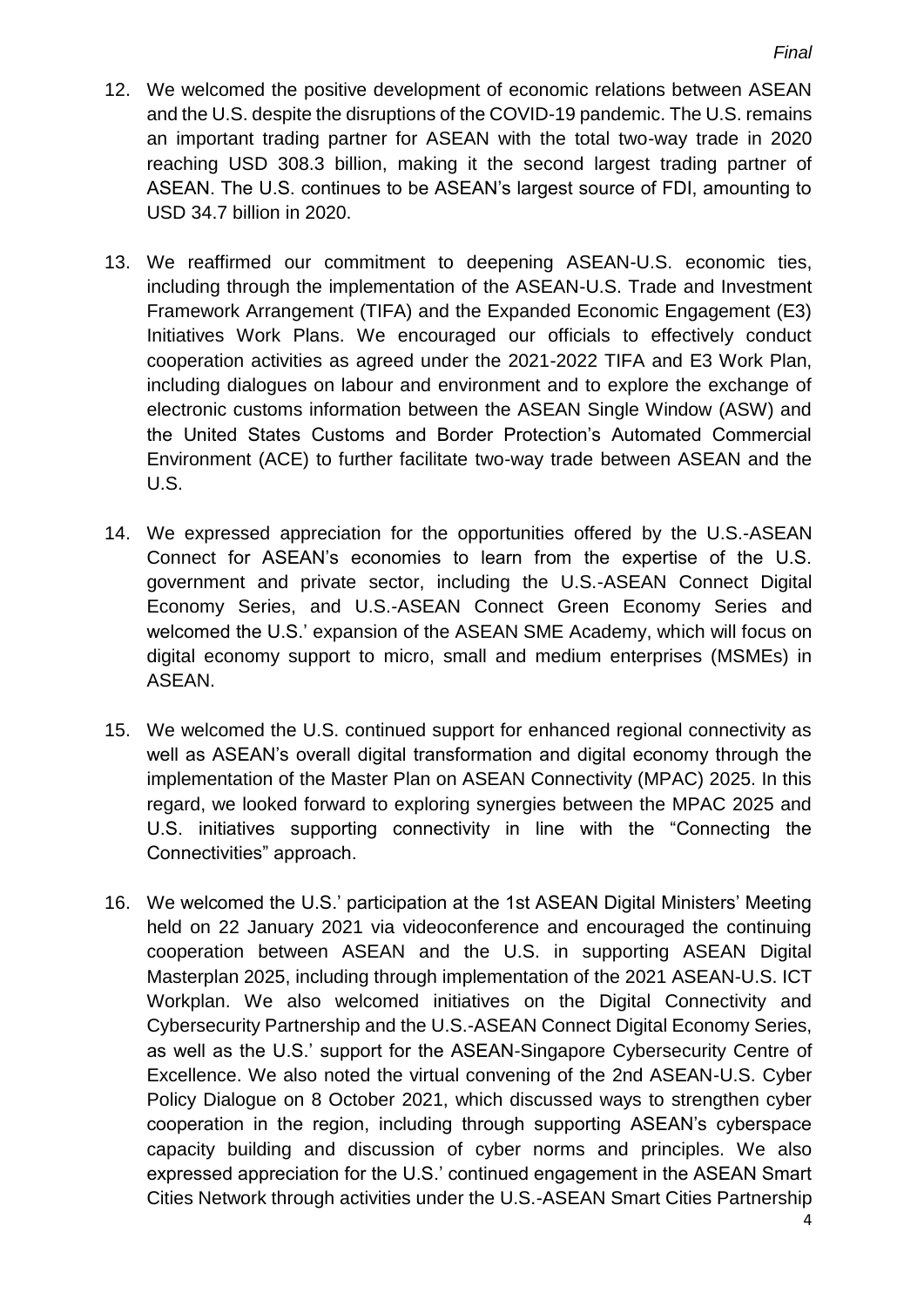- 12. We welcomed the positive development of economic relations between ASEAN and the U.S. despite the disruptions of the COVID-19 pandemic. The U.S. remains an important trading partner for ASEAN with the total two-way trade in 2020 reaching USD 308.3 billion, making it the second largest trading partner of ASEAN. The U.S. continues to be ASEAN's largest source of FDI, amounting to USD 34.7 billion in 2020.
- 13. We reaffirmed our commitment to deepening ASEAN-U.S. economic ties, including through the implementation of the ASEAN-U.S. Trade and Investment Framework Arrangement (TIFA) and the Expanded Economic Engagement (E3) Initiatives Work Plans. We encouraged our officials to effectively conduct cooperation activities as agreed under the 2021-2022 TIFA and E3 Work Plan, including dialogues on labour and environment and to explore the exchange of electronic customs information between the ASEAN Single Window (ASW) and the United States Customs and Border Protection's Automated Commercial Environment (ACE) to further facilitate two-way trade between ASEAN and the U.S.
- 14. We expressed appreciation for the opportunities offered by the U.S.-ASEAN Connect for ASEAN's economies to learn from the expertise of the U.S. government and private sector, including the U.S.-ASEAN Connect Digital Economy Series, and U.S.-ASEAN Connect Green Economy Series and welcomed the U.S.' expansion of the ASEAN SME Academy, which will focus on digital economy support to micro, small and medium enterprises (MSMEs) in ASEAN.
- 15. We welcomed the U.S. continued support for enhanced regional connectivity as well as ASEAN's overall digital transformation and digital economy through the implementation of the Master Plan on ASEAN Connectivity (MPAC) 2025. In this regard, we looked forward to exploring synergies between the MPAC 2025 and U.S. initiatives supporting connectivity in line with the "Connecting the Connectivities" approach.
- 16. We welcomed the U.S.' participation at the 1st ASEAN Digital Ministers' Meeting held on 22 January 2021 via videoconference and encouraged the continuing cooperation between ASEAN and the U.S. in supporting ASEAN Digital Masterplan 2025, including through implementation of the 2021 ASEAN-U.S. ICT Workplan. We also welcomed initiatives on the Digital Connectivity and Cybersecurity Partnership and the U.S.-ASEAN Connect Digital Economy Series, as well as the U.S.' support for the ASEAN-Singapore Cybersecurity Centre of Excellence. We also noted the virtual convening of the 2nd ASEAN-U.S. Cyber Policy Dialogue on 8 October 2021, which discussed ways to strengthen cyber cooperation in the region, including through supporting ASEAN's cyberspace capacity building and discussion of cyber norms and principles. We also expressed appreciation for the U.S.' continued engagement in the ASEAN Smart Cities Network through activities under the U.S.-ASEAN Smart Cities Partnership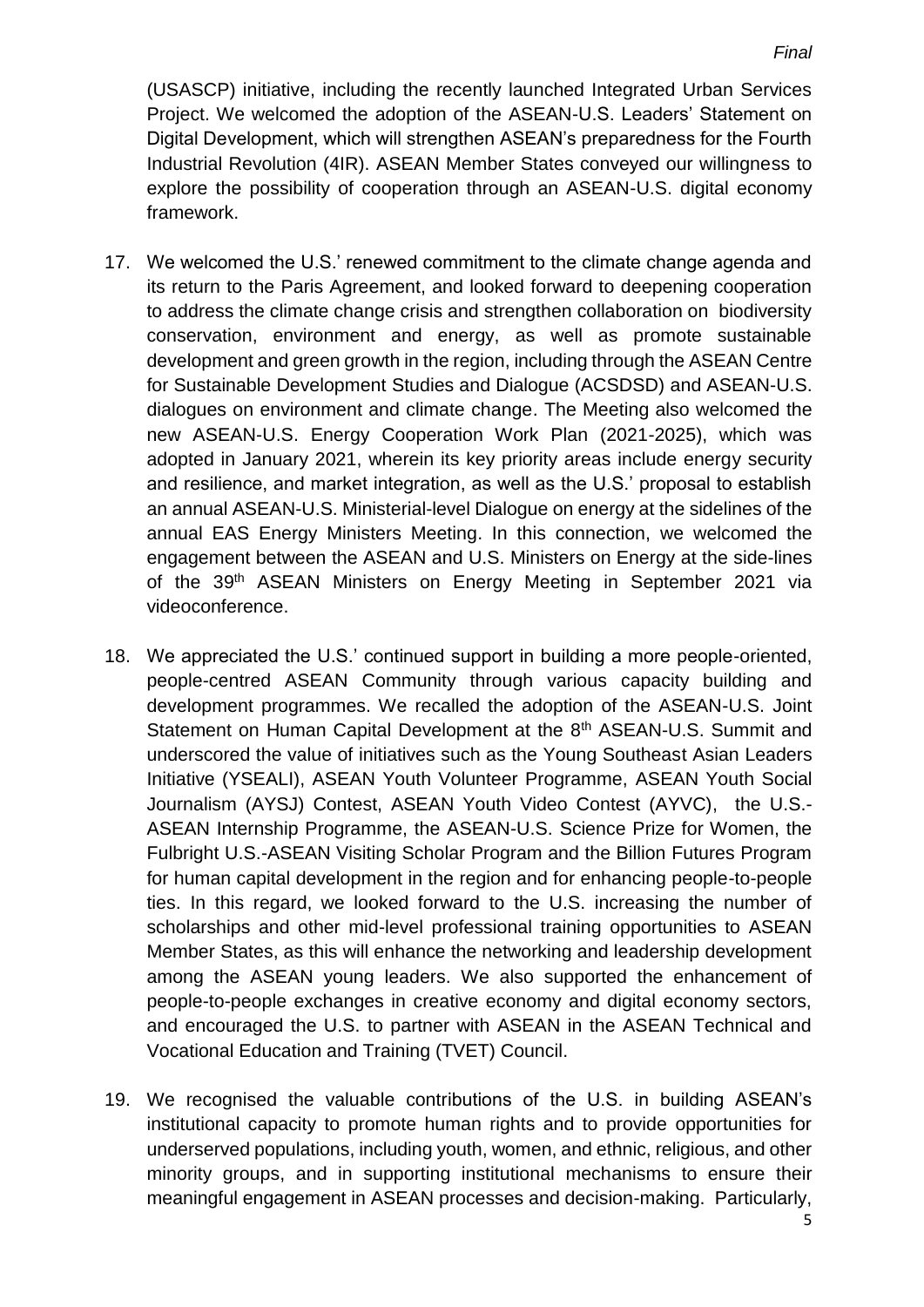(USASCP) initiative, including the recently launched Integrated Urban Services Project. We welcomed the adoption of the ASEAN-U.S. Leaders' Statement on Digital Development, which will strengthen ASEAN's preparedness for the Fourth Industrial Revolution (4IR). ASEAN Member States conveyed our willingness to explore the possibility of cooperation through an ASEAN-U.S. digital economy framework.

- 17. We welcomed the U.S.' renewed commitment to the climate change agenda and its return to the Paris Agreement, and looked forward to deepening cooperation to address the climate change crisis and strengthen collaboration on biodiversity conservation, environment and energy, as well as promote sustainable development and green growth in the region, including through the ASEAN Centre for Sustainable Development Studies and Dialogue (ACSDSD) and ASEAN-U.S. dialogues on environment and climate change. The Meeting also welcomed the new ASEAN-U.S. Energy Cooperation Work Plan (2021-2025), which was adopted in January 2021, wherein its key priority areas include energy security and resilience, and market integration, as well as the U.S.' proposal to establish an annual ASEAN-U.S. Ministerial-level Dialogue on energy at the sidelines of the annual EAS Energy Ministers Meeting. In this connection, we welcomed the engagement between the ASEAN and U.S. Ministers on Energy at the side-lines of the 39<sup>th</sup> ASEAN Ministers on Energy Meeting in September 2021 via videoconference.
- 18. We appreciated the U.S.' continued support in building a more people-oriented, people-centred ASEAN Community through various capacity building and development programmes. We recalled the adoption of the ASEAN-U.S. Joint Statement on Human Capital Development at the 8<sup>th</sup> ASEAN-U.S. Summit and underscored the value of initiatives such as the Young Southeast Asian Leaders Initiative (YSEALI), ASEAN Youth Volunteer Programme, ASEAN Youth Social Journalism (AYSJ) Contest, ASEAN Youth Video Contest (AYVC), the U.S.- ASEAN Internship Programme, the ASEAN-U.S. Science Prize for Women, the Fulbright U.S.-ASEAN Visiting Scholar Program and the Billion Futures Program for human capital development in the region and for enhancing people-to-people ties. In this regard, we looked forward to the U.S. increasing the number of scholarships and other mid-level professional training opportunities to ASEAN Member States, as this will enhance the networking and leadership development among the ASEAN young leaders. We also supported the enhancement of people-to-people exchanges in creative economy and digital economy sectors, and encouraged the U.S. to partner with ASEAN in the ASEAN Technical and Vocational Education and Training (TVET) Council.
- 19. We recognised the valuable contributions of the U.S. in building ASEAN's institutional capacity to promote human rights and to provide opportunities for underserved populations, including youth, women, and ethnic, religious, and other minority groups, and in supporting institutional mechanisms to ensure their meaningful engagement in ASEAN processes and decision-making. Particularly,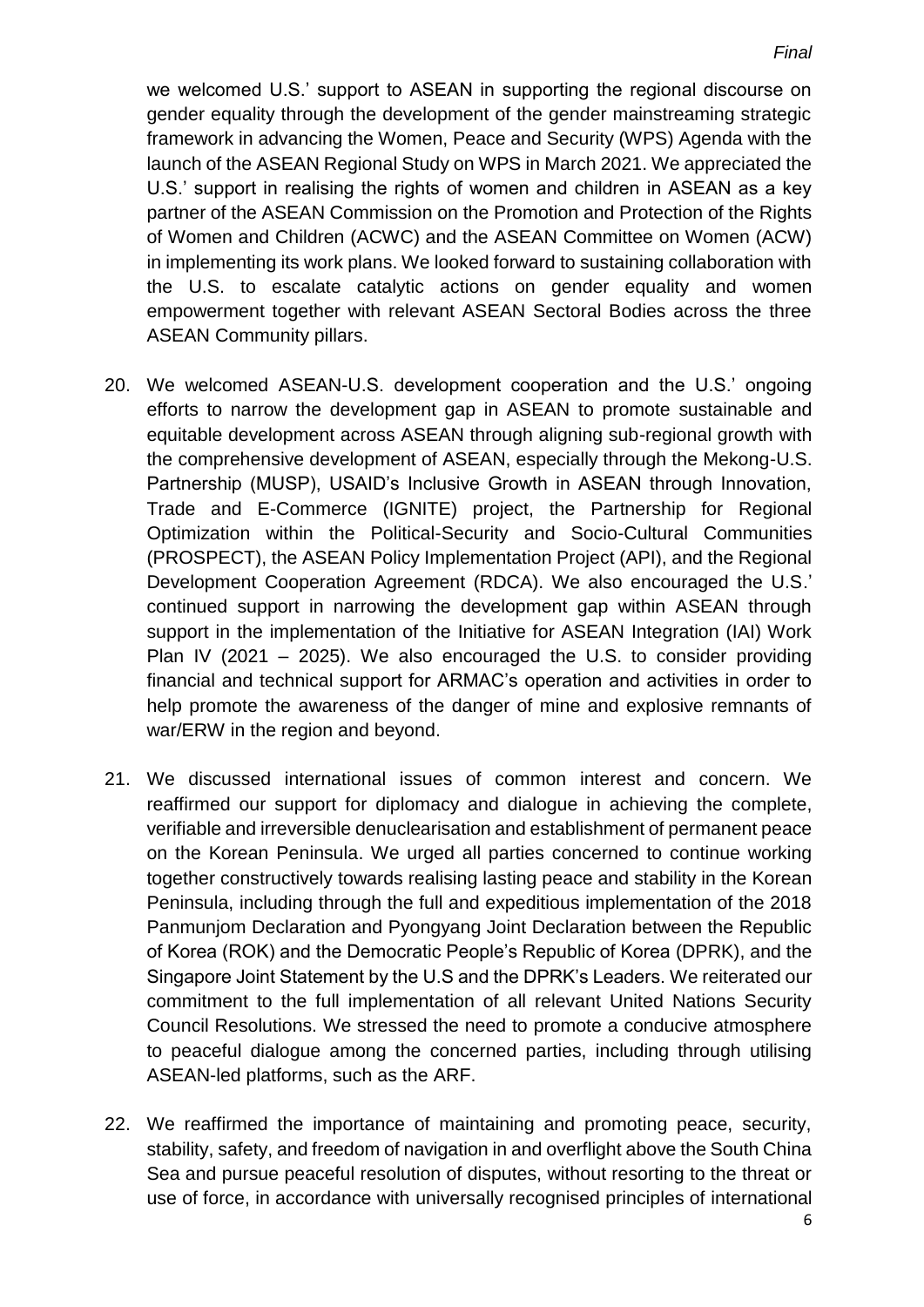we welcomed U.S.' support to ASEAN in supporting the regional discourse on gender equality through the development of the gender mainstreaming strategic framework in advancing the Women, Peace and Security (WPS) Agenda with the launch of the ASEAN Regional Study on WPS in March 2021. We appreciated the U.S.' support in realising the rights of women and children in ASEAN as a key partner of the ASEAN Commission on the Promotion and Protection of the Rights of Women and Children (ACWC) and the ASEAN Committee on Women (ACW) in implementing its work plans. We looked forward to sustaining collaboration with the U.S. to escalate catalytic actions on gender equality and women empowerment together with relevant ASEAN Sectoral Bodies across the three ASEAN Community pillars.

- 20. We welcomed ASEAN-U.S. development cooperation and the U.S.' ongoing efforts to narrow the development gap in ASEAN to promote sustainable and equitable development across ASEAN through aligning sub-regional growth with the comprehensive development of ASEAN, especially through the Mekong-U.S. Partnership (MUSP), USAID's Inclusive Growth in ASEAN through Innovation, Trade and E-Commerce (IGNITE) project, the Partnership for Regional Optimization within the Political-Security and Socio-Cultural Communities (PROSPECT), the ASEAN Policy Implementation Project (API), and the Regional Development Cooperation Agreement (RDCA). We also encouraged the U.S.' continued support in narrowing the development gap within ASEAN through support in the implementation of the Initiative for ASEAN Integration (IAI) Work Plan IV (2021 – 2025). We also encouraged the U.S. to consider providing financial and technical support for ARMAC's operation and activities in order to help promote the awareness of the danger of mine and explosive remnants of war/ERW in the region and beyond.
- 21. We discussed international issues of common interest and concern. We reaffirmed our support for diplomacy and dialogue in achieving the complete, verifiable and irreversible denuclearisation and establishment of permanent peace on the Korean Peninsula. We urged all parties concerned to continue working together constructively towards realising lasting peace and stability in the Korean Peninsula, including through the full and expeditious implementation of the 2018 Panmunjom Declaration and Pyongyang Joint Declaration between the Republic of Korea (ROK) and the Democratic People's Republic of Korea (DPRK), and the Singapore Joint Statement by the U.S and the DPRK's Leaders. We reiterated our commitment to the full implementation of all relevant United Nations Security Council Resolutions. We stressed the need to promote a conducive atmosphere to peaceful dialogue among the concerned parties, including through utilising ASEAN-led platforms, such as the ARF.
- 22. We reaffirmed the importance of maintaining and promoting peace, security, stability, safety, and freedom of navigation in and overflight above the South China Sea and pursue peaceful resolution of disputes, without resorting to the threat or use of force, in accordance with universally recognised principles of international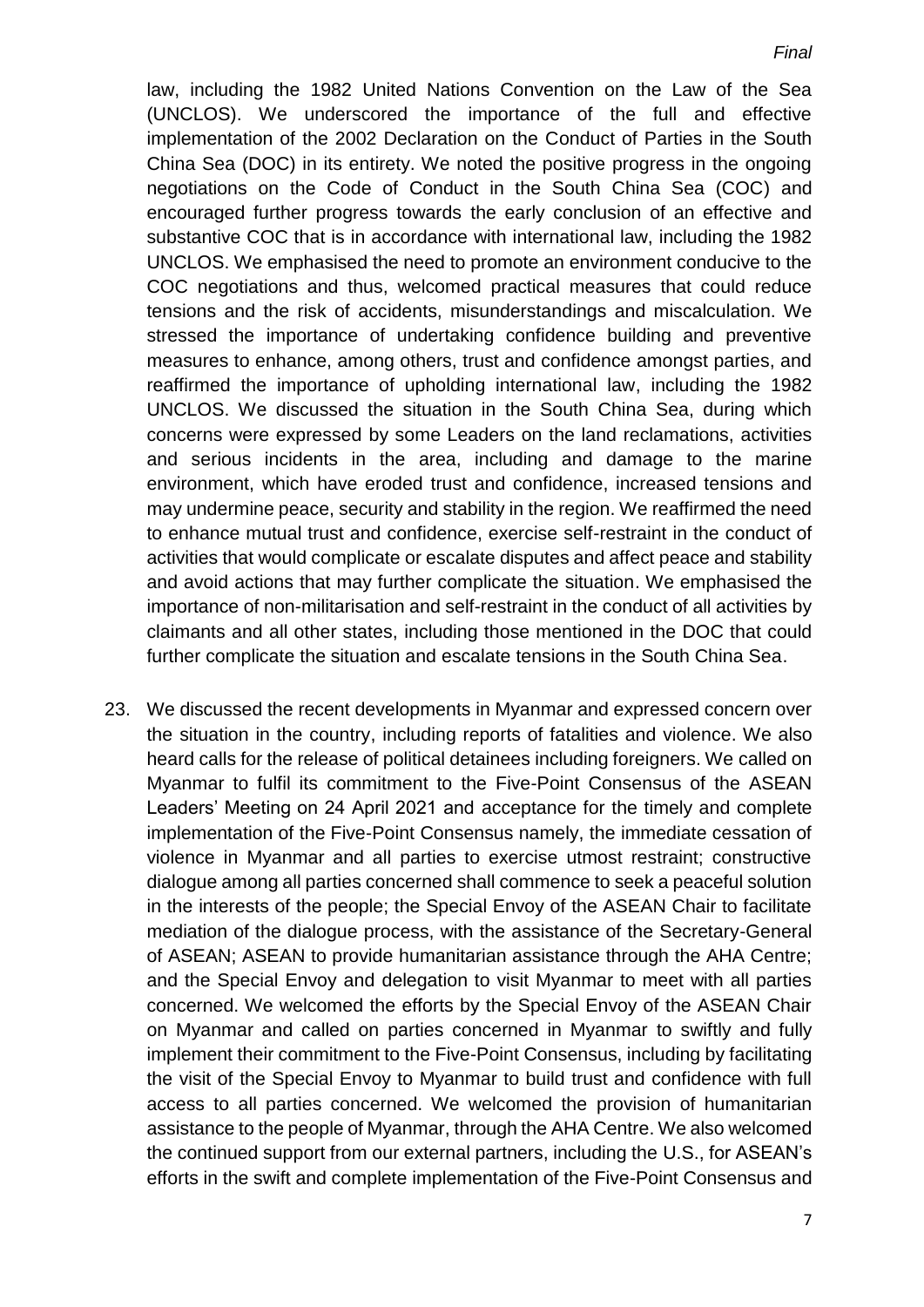law, including the 1982 United Nations Convention on the Law of the Sea (UNCLOS). We underscored the importance of the full and effective implementation of the 2002 Declaration on the Conduct of Parties in the South China Sea (DOC) in its entirety. We noted the positive progress in the ongoing negotiations on the Code of Conduct in the South China Sea (COC) and encouraged further progress towards the early conclusion of an effective and substantive COC that is in accordance with international law, including the 1982 UNCLOS. We emphasised the need to promote an environment conducive to the COC negotiations and thus, welcomed practical measures that could reduce tensions and the risk of accidents, misunderstandings and miscalculation. We stressed the importance of undertaking confidence building and preventive measures to enhance, among others, trust and confidence amongst parties, and reaffirmed the importance of upholding international law, including the 1982 UNCLOS. We discussed the situation in the South China Sea, during which concerns were expressed by some Leaders on the land reclamations, activities and serious incidents in the area, including and damage to the marine environment, which have eroded trust and confidence, increased tensions and may undermine peace, security and stability in the region. We reaffirmed the need to enhance mutual trust and confidence, exercise self-restraint in the conduct of activities that would complicate or escalate disputes and affect peace and stability and avoid actions that may further complicate the situation. We emphasised the importance of non-militarisation and self-restraint in the conduct of all activities by claimants and all other states, including those mentioned in the DOC that could further complicate the situation and escalate tensions in the South China Sea.

23. We discussed the recent developments in Myanmar and expressed concern over the situation in the country, including reports of fatalities and violence. We also heard calls for the release of political detainees including foreigners. We called on Myanmar to fulfil its commitment to the Five-Point Consensus of the ASEAN Leaders' Meeting on 24 April 2021 and acceptance for the timely and complete implementation of the Five-Point Consensus namely, the immediate cessation of violence in Myanmar and all parties to exercise utmost restraint; constructive dialogue among all parties concerned shall commence to seek a peaceful solution in the interests of the people; the Special Envoy of the ASEAN Chair to facilitate mediation of the dialogue process, with the assistance of the Secretary-General of ASEAN; ASEAN to provide humanitarian assistance through the AHA Centre; and the Special Envoy and delegation to visit Myanmar to meet with all parties concerned. We welcomed the efforts by the Special Envoy of the ASEAN Chair on Myanmar and called on parties concerned in Myanmar to swiftly and fully implement their commitment to the Five-Point Consensus, including by facilitating the visit of the Special Envoy to Myanmar to build trust and confidence with full access to all parties concerned. We welcomed the provision of humanitarian assistance to the people of Myanmar, through the AHA Centre. We also welcomed the continued support from our external partners, including the U.S., for ASEAN's efforts in the swift and complete implementation of the Five-Point Consensus and